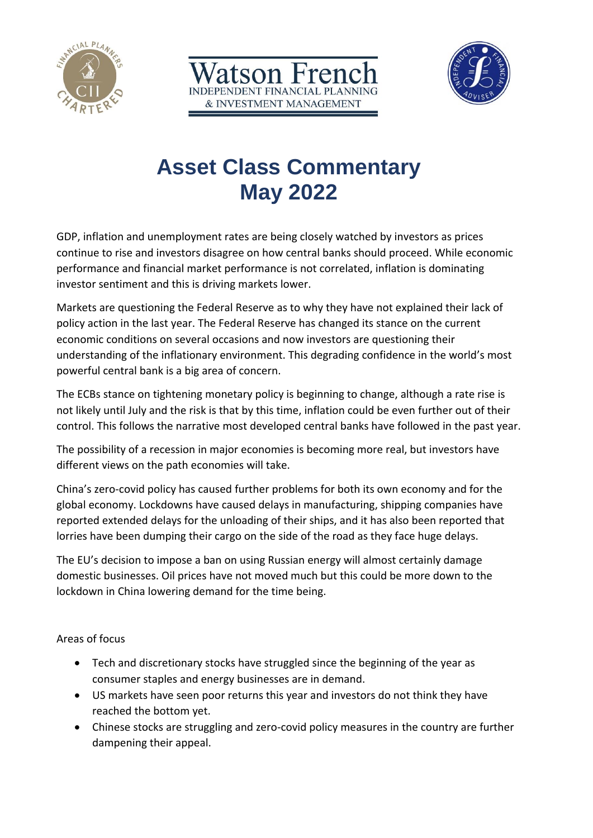





# **Asset Class Commentary May 2022**

GDP, inflation and unemployment rates are being closely watched by investors as prices continue to rise and investors disagree on how central banks should proceed. While economic performance and financial market performance is not correlated, inflation is dominating investor sentiment and this is driving markets lower.

Markets are questioning the Federal Reserve as to why they have not explained their lack of policy action in the last year. The Federal Reserve has changed its stance on the current economic conditions on several occasions and now investors are questioning their understanding of the inflationary environment. This degrading confidence in the world's most powerful central bank is a big area of concern.

The ECBs stance on tightening monetary policy is beginning to change, although a rate rise is not likely until July and the risk is that by this time, inflation could be even further out of their control. This follows the narrative most developed central banks have followed in the past year.

The possibility of a recession in major economies is becoming more real, but investors have different views on the path economies will take.

China's zero-covid policy has caused further problems for both its own economy and for the global economy. Lockdowns have caused delays in manufacturing, shipping companies have reported extended delays for the unloading of their ships, and it has also been reported that lorries have been dumping their cargo on the side of the road as they face huge delays.

The EU's decision to impose a ban on using Russian energy will almost certainly damage domestic businesses. Oil prices have not moved much but this could be more down to the lockdown in China lowering demand for the time being.

Areas of focus

- Tech and discretionary stocks have struggled since the beginning of the year as consumer staples and energy businesses are in demand.
- US markets have seen poor returns this year and investors do not think they have reached the bottom yet.
- Chinese stocks are struggling and zero-covid policy measures in the country are further dampening their appeal.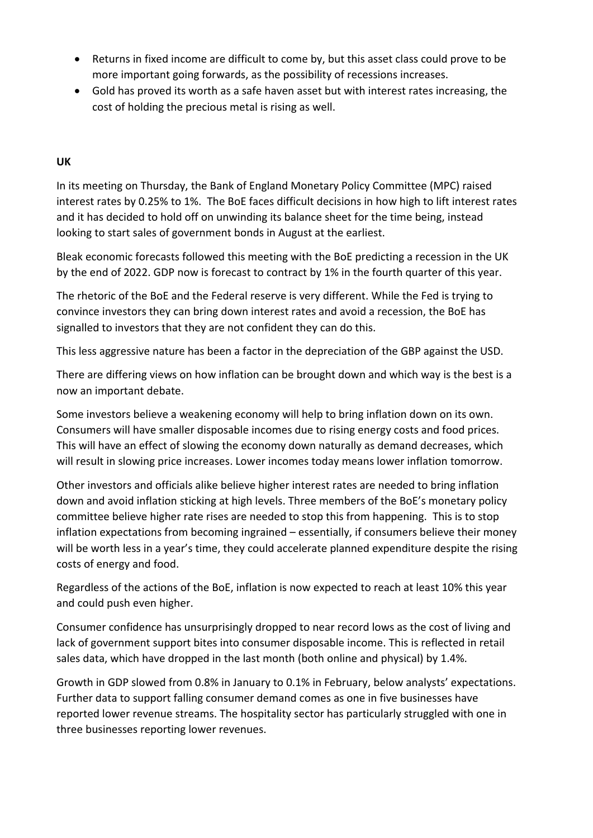- Returns in fixed income are difficult to come by, but this asset class could prove to be more important going forwards, as the possibility of recessions increases.
- Gold has proved its worth as a safe haven asset but with interest rates increasing, the cost of holding the precious metal is rising as well.

#### **UK**

In its meeting on Thursday, the Bank of England Monetary Policy Committee (MPC) raised interest rates by 0.25% to 1%. The BoE faces difficult decisions in how high to lift interest rates and it has decided to hold off on unwinding its balance sheet for the time being, instead looking to start sales of government bonds in August at the earliest.

Bleak economic forecasts followed this meeting with the BoE predicting a recession in the UK by the end of 2022. GDP now is forecast to contract by 1% in the fourth quarter of this year.

The rhetoric of the BoE and the Federal reserve is very different. While the Fed is trying to convince investors they can bring down interest rates and avoid a recession, the BoE has signalled to investors that they are not confident they can do this.

This less aggressive nature has been a factor in the depreciation of the GBP against the USD.

There are differing views on how inflation can be brought down and which way is the best is a now an important debate.

Some investors believe a weakening economy will help to bring inflation down on its own. Consumers will have smaller disposable incomes due to rising energy costs and food prices. This will have an effect of slowing the economy down naturally as demand decreases, which will result in slowing price increases. Lower incomes today means lower inflation tomorrow.

Other investors and officials alike believe higher interest rates are needed to bring inflation down and avoid inflation sticking at high levels. Three members of the BoE's monetary policy committee believe higher rate rises are needed to stop this from happening. This is to stop inflation expectations from becoming ingrained – essentially, if consumers believe their money will be worth less in a year's time, they could accelerate planned expenditure despite the rising costs of energy and food.

Regardless of the actions of the BoE, inflation is now expected to reach at least 10% this year and could push even higher.

Consumer confidence has unsurprisingly dropped to near record lows as the cost of living and lack of government support bites into consumer disposable income. This is reflected in retail sales data, which have dropped in the last month (both online and physical) by 1.4%.

Growth in GDP slowed from 0.8% in January to 0.1% in February, below analysts' expectations. Further data to support falling consumer demand comes as one in five businesses have reported lower revenue streams. The hospitality sector has particularly struggled with one in three businesses reporting lower revenues.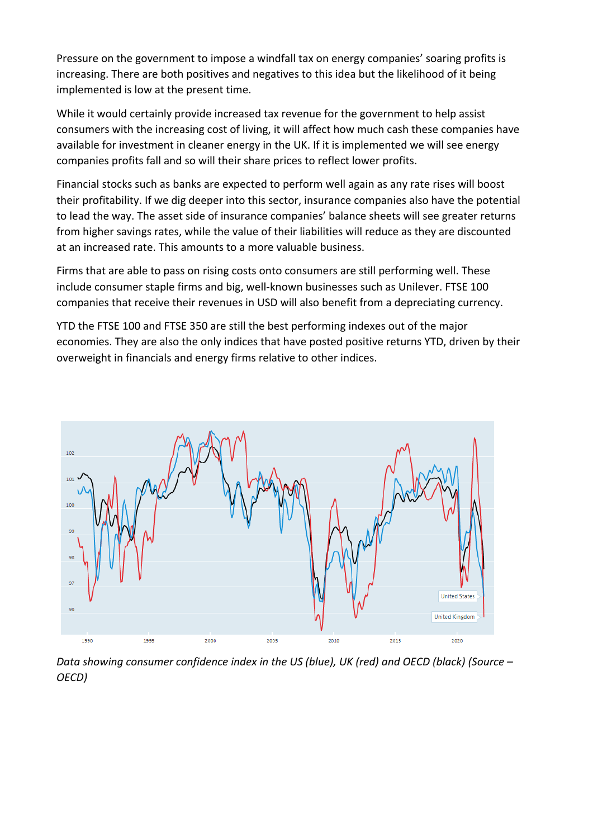Pressure on the government to impose a windfall tax on energy companies' soaring profits is increasing. There are both positives and negatives to this idea but the likelihood of it being implemented is low at the present time.

While it would certainly provide increased tax revenue for the government to help assist consumers with the increasing cost of living, it will affect how much cash these companies have available for investment in cleaner energy in the UK. If it is implemented we will see energy companies profits fall and so will their share prices to reflect lower profits.

Financial stocks such as banks are expected to perform well again as any rate rises will boost their profitability. If we dig deeper into this sector, insurance companies also have the potential to lead the way. The asset side of insurance companies' balance sheets will see greater returns from higher savings rates, while the value of their liabilities will reduce as they are discounted at an increased rate. This amounts to a more valuable business.

Firms that are able to pass on rising costs onto consumers are still performing well. These include consumer staple firms and big, well-known businesses such as Unilever. FTSE 100 companies that receive their revenues in USD will also benefit from a depreciating currency.

YTD the FTSE 100 and FTSE 350 are still the best performing indexes out of the major economies. They are also the only indices that have posted positive returns YTD, driven by their overweight in financials and energy firms relative to other indices.



*Data showing consumer confidence index in the US (blue), UK (red) and OECD (black) (Source – OECD)*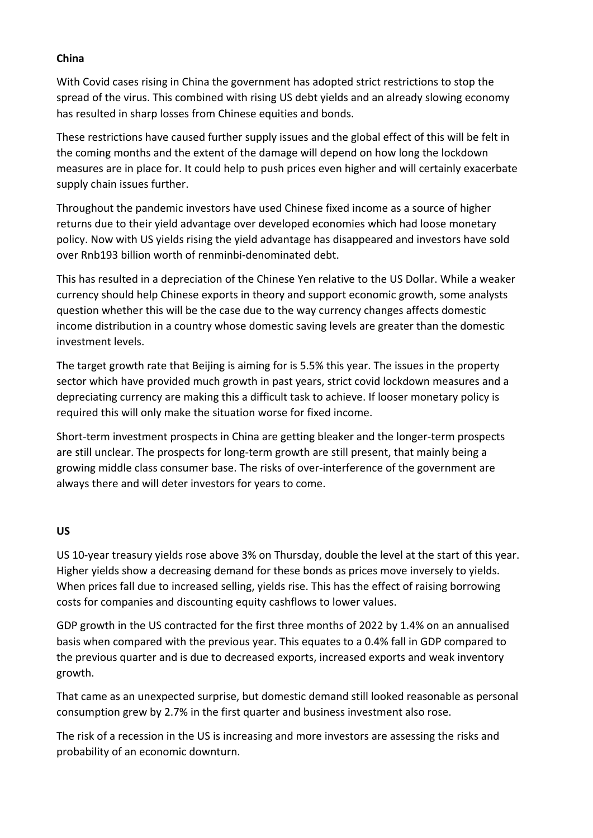#### **China**

With Covid cases rising in China the government has adopted strict restrictions to stop the spread of the virus. This combined with rising US debt yields and an already slowing economy has resulted in sharp losses from Chinese equities and bonds.

These restrictions have caused further supply issues and the global effect of this will be felt in the coming months and the extent of the damage will depend on how long the lockdown measures are in place for. It could help to push prices even higher and will certainly exacerbate supply chain issues further.

Throughout the pandemic investors have used Chinese fixed income as a source of higher returns due to their yield advantage over developed economies which had loose monetary policy. Now with US yields rising the yield advantage has disappeared and investors have sold over Rnb193 billion worth of renminbi-denominated debt.

This has resulted in a depreciation of the Chinese Yen relative to the US Dollar. While a weaker currency should help Chinese exports in theory and support economic growth, some analysts question whether this will be the case due to the way currency changes affects domestic income distribution in a country whose domestic saving levels are greater than the domestic investment levels.

The target growth rate that Beijing is aiming for is 5.5% this year. The issues in the property sector which have provided much growth in past years, strict covid lockdown measures and a depreciating currency are making this a difficult task to achieve. If looser monetary policy is required this will only make the situation worse for fixed income.

Short-term investment prospects in China are getting bleaker and the longer-term prospects are still unclear. The prospects for long-term growth are still present, that mainly being a growing middle class consumer base. The risks of over-interference of the government are always there and will deter investors for years to come.

# **US**

US 10-year treasury yields rose above 3% on Thursday, double the level at the start of this year. Higher yields show a decreasing demand for these bonds as prices move inversely to yields. When prices fall due to increased selling, yields rise. This has the effect of raising borrowing costs for companies and discounting equity cashflows to lower values.

GDP growth in the US contracted for the first three months of 2022 by 1.4% on an annualised basis when compared with the previous year. This equates to a 0.4% fall in GDP compared to the previous quarter and is due to decreased exports, increased exports and weak inventory growth.

That came as an unexpected surprise, but domestic demand still looked reasonable as personal consumption grew by 2.7% in the first quarter and business investment also rose.

The risk of a recession in the US is increasing and more investors are assessing the risks and probability of an economic downturn.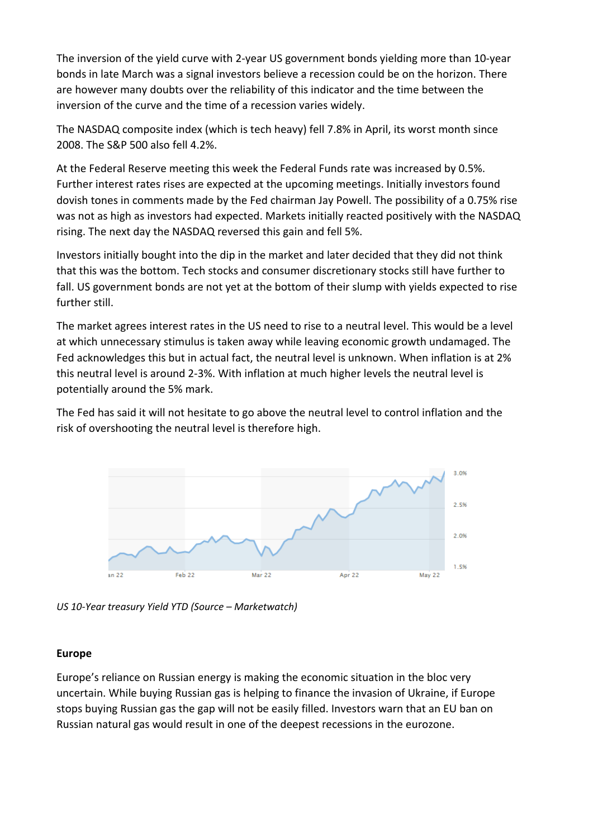The inversion of the yield curve with 2-year US government bonds yielding more than 10-year bonds in late March was a signal investors believe a recession could be on the horizon. There are however many doubts over the reliability of this indicator and the time between the inversion of the curve and the time of a recession varies widely.

The NASDAQ composite index (which is tech heavy) fell 7.8% in April, its worst month since 2008. The S&P 500 also fell 4.2%.

At the Federal Reserve meeting this week the Federal Funds rate was increased by 0.5%. Further interest rates rises are expected at the upcoming meetings. Initially investors found dovish tones in comments made by the Fed chairman Jay Powell. The possibility of a 0.75% rise was not as high as investors had expected. Markets initially reacted positively with the NASDAQ rising. The next day the NASDAQ reversed this gain and fell 5%.

Investors initially bought into the dip in the market and later decided that they did not think that this was the bottom. Tech stocks and consumer discretionary stocks still have further to fall. US government bonds are not yet at the bottom of their slump with yields expected to rise further still.

The market agrees interest rates in the US need to rise to a neutral level. This would be a level at which unnecessary stimulus is taken away while leaving economic growth undamaged. The Fed acknowledges this but in actual fact, the neutral level is unknown. When inflation is at 2% this neutral level is around 2-3%. With inflation at much higher levels the neutral level is potentially around the 5% mark.

The Fed has said it will not hesitate to go above the neutral level to control inflation and the risk of overshooting the neutral level is therefore high.



*US 10-Year treasury Yield YTD (Source – Marketwatch)*

# **Europe**

Europe's reliance on Russian energy is making the economic situation in the bloc very uncertain. While buying Russian gas is helping to finance the invasion of Ukraine, if Europe stops buying Russian gas the gap will not be easily filled. Investors warn that an EU ban on Russian natural gas would result in one of the deepest recessions in the eurozone.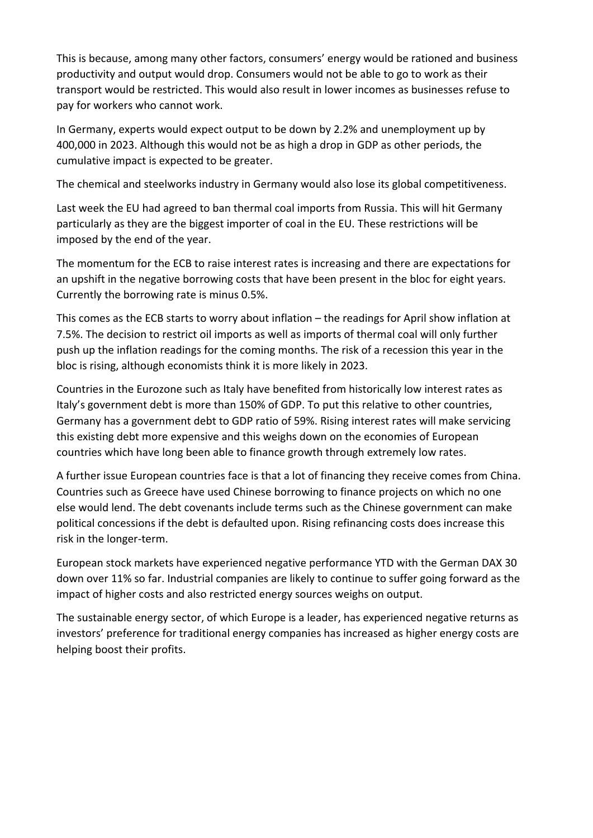This is because, among many other factors, consumers' energy would be rationed and business productivity and output would drop. Consumers would not be able to go to work as their transport would be restricted. This would also result in lower incomes as businesses refuse to pay for workers who cannot work.

In Germany, experts would expect output to be down by 2.2% and unemployment up by 400,000 in 2023. Although this would not be as high a drop in GDP as other periods, the cumulative impact is expected to be greater.

The chemical and steelworks industry in Germany would also lose its global competitiveness.

Last week the EU had agreed to ban thermal coal imports from Russia. This will hit Germany particularly as they are the biggest importer of coal in the EU. These restrictions will be imposed by the end of the year.

The momentum for the ECB to raise interest rates is increasing and there are expectations for an upshift in the negative borrowing costs that have been present in the bloc for eight years. Currently the borrowing rate is minus 0.5%.

This comes as the ECB starts to worry about inflation – the readings for April show inflation at 7.5%. The decision to restrict oil imports as well as imports of thermal coal will only further push up the inflation readings for the coming months. The risk of a recession this year in the bloc is rising, although economists think it is more likely in 2023.

Countries in the Eurozone such as Italy have benefited from historically low interest rates as Italy's government debt is more than 150% of GDP. To put this relative to other countries, Germany has a government debt to GDP ratio of 59%. Rising interest rates will make servicing this existing debt more expensive and this weighs down on the economies of European countries which have long been able to finance growth through extremely low rates.

A further issue European countries face is that a lot of financing they receive comes from China. Countries such as Greece have used Chinese borrowing to finance projects on which no one else would lend. The debt covenants include terms such as the Chinese government can make political concessions if the debt is defaulted upon. Rising refinancing costs does increase this risk in the longer-term.

European stock markets have experienced negative performance YTD with the German DAX 30 down over 11% so far. Industrial companies are likely to continue to suffer going forward as the impact of higher costs and also restricted energy sources weighs on output.

The sustainable energy sector, of which Europe is a leader, has experienced negative returns as investors' preference for traditional energy companies has increased as higher energy costs are helping boost their profits.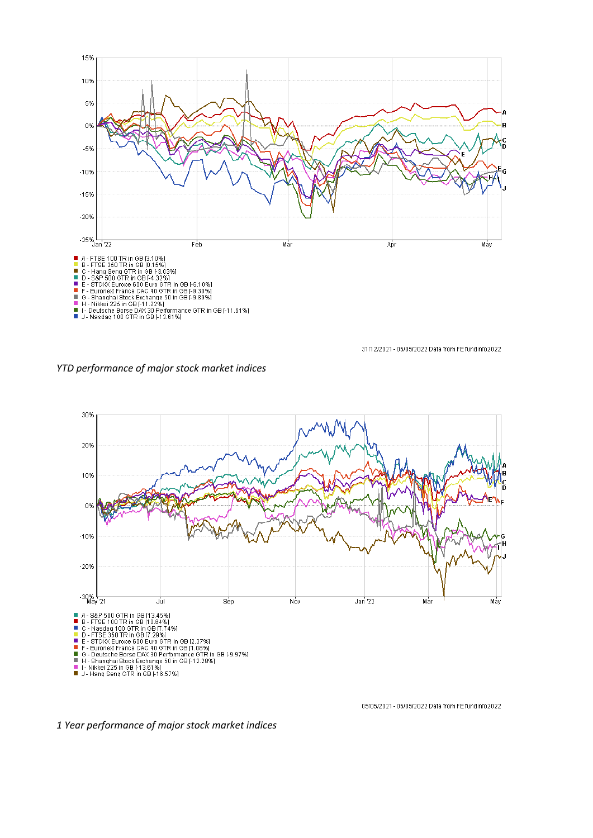

31/12/2021 - 05/05/2022 Data from FE fundinfo2022

*YTD performance of major stock market indices*



05/05/2021 - 05/05/2022 Data from FE fundinfo2022

*1 Year performance of major stock market indices*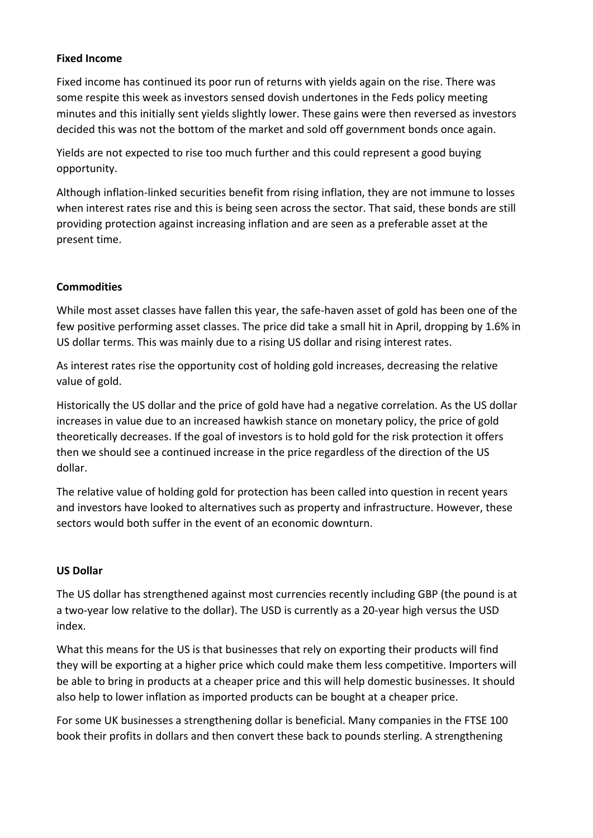# **Fixed Income**

Fixed income has continued its poor run of returns with yields again on the rise. There was some respite this week as investors sensed dovish undertones in the Feds policy meeting minutes and this initially sent yields slightly lower. These gains were then reversed as investors decided this was not the bottom of the market and sold off government bonds once again.

Yields are not expected to rise too much further and this could represent a good buying opportunity.

Although inflation-linked securities benefit from rising inflation, they are not immune to losses when interest rates rise and this is being seen across the sector. That said, these bonds are still providing protection against increasing inflation and are seen as a preferable asset at the present time.

# **Commodities**

While most asset classes have fallen this year, the safe-haven asset of gold has been one of the few positive performing asset classes. The price did take a small hit in April, dropping by 1.6% in US dollar terms. This was mainly due to a rising US dollar and rising interest rates.

As interest rates rise the opportunity cost of holding gold increases, decreasing the relative value of gold.

Historically the US dollar and the price of gold have had a negative correlation. As the US dollar increases in value due to an increased hawkish stance on monetary policy, the price of gold theoretically decreases. If the goal of investors is to hold gold for the risk protection it offers then we should see a continued increase in the price regardless of the direction of the US dollar.

The relative value of holding gold for protection has been called into question in recent years and investors have looked to alternatives such as property and infrastructure. However, these sectors would both suffer in the event of an economic downturn.

# **US Dollar**

The US dollar has strengthened against most currencies recently including GBP (the pound is at a two-year low relative to the dollar). The USD is currently as a 20-year high versus the USD index.

What this means for the US is that businesses that rely on exporting their products will find they will be exporting at a higher price which could make them less competitive. Importers will be able to bring in products at a cheaper price and this will help domestic businesses. It should also help to lower inflation as imported products can be bought at a cheaper price.

For some UK businesses a strengthening dollar is beneficial. Many companies in the FTSE 100 book their profits in dollars and then convert these back to pounds sterling. A strengthening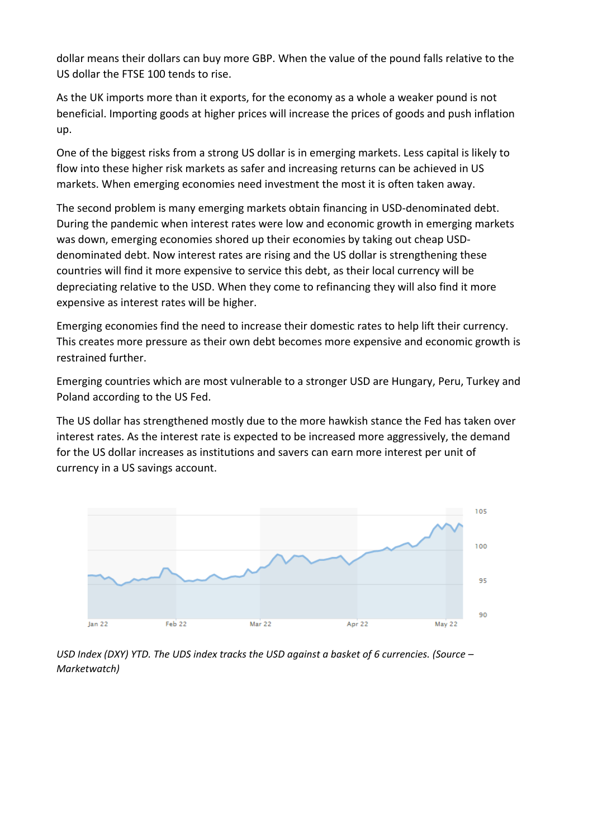dollar means their dollars can buy more GBP. When the value of the pound falls relative to the US dollar the FTSE 100 tends to rise.

As the UK imports more than it exports, for the economy as a whole a weaker pound is not beneficial. Importing goods at higher prices will increase the prices of goods and push inflation up.

One of the biggest risks from a strong US dollar is in emerging markets. Less capital is likely to flow into these higher risk markets as safer and increasing returns can be achieved in US markets. When emerging economies need investment the most it is often taken away.

The second problem is many emerging markets obtain financing in USD-denominated debt. During the pandemic when interest rates were low and economic growth in emerging markets was down, emerging economies shored up their economies by taking out cheap USDdenominated debt. Now interest rates are rising and the US dollar is strengthening these countries will find it more expensive to service this debt, as their local currency will be depreciating relative to the USD. When they come to refinancing they will also find it more expensive as interest rates will be higher.

Emerging economies find the need to increase their domestic rates to help lift their currency. This creates more pressure as their own debt becomes more expensive and economic growth is restrained further.

Emerging countries which are most vulnerable to a stronger USD are Hungary, Peru, Turkey and Poland according to the US Fed.

The US dollar has strengthened mostly due to the more hawkish stance the Fed has taken over interest rates. As the interest rate is expected to be increased more aggressively, the demand for the US dollar increases as institutions and savers can earn more interest per unit of currency in a US savings account.



*USD Index (DXY) YTD. The UDS index tracks the USD against a basket of 6 currencies. (Source – Marketwatch)*